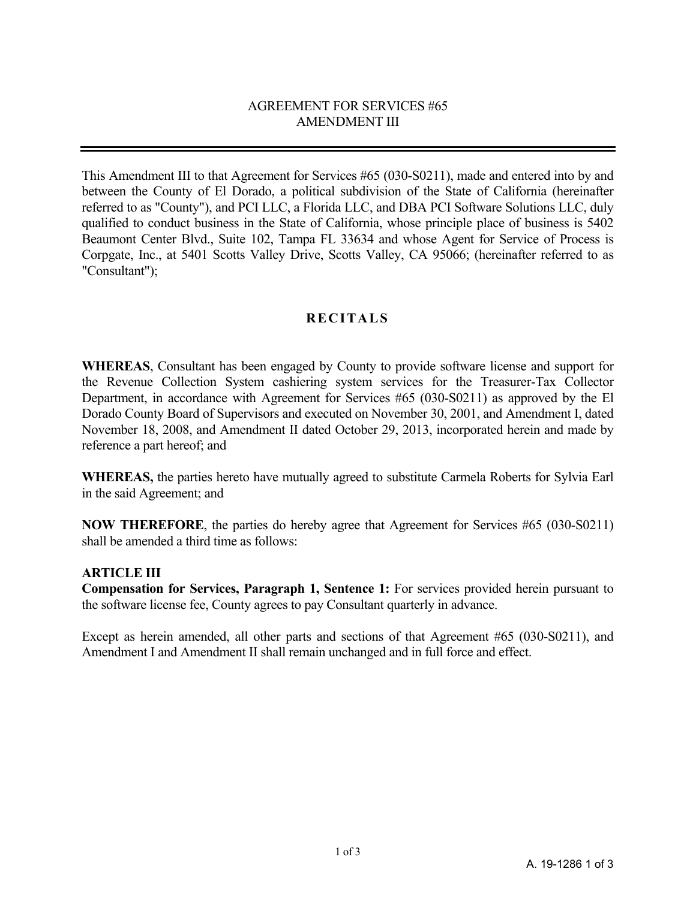### AGREEMENT FOR SERVICES #65 AMENDMENT III

This Amendment III to that Agreement for Services #65 (030-S0211), made and entered into by and between the County of El Dorado, a political subdivision of the State of California (hereinafter referred to as "County"), and PCI LLC, a Florida LLC, and DBA PCI Software Solutions LLC, duly qualified to conduct business in the State of California, whose principle place of business is 5402 Beaumont Center Blvd., Suite 102, Tampa FL 33634 and whose Agent for Service of Process is Corpgate, Inc., at 5401 Scotts Valley Drive, Scotts Valley, CA 95066; (hereinafter referred to as "Consultant");

# **RECITALS**

**WHEREAS**, Consultant has been engaged by County to provide software license and support for the Revenue Collection System cashiering system services for the Treasurer-Tax Collector Department, in accordance with Agreement for Services #65 (030-S0211) as approved by the El Dorado County Board of Supervisors and executed on November 30, 2001, and Amendment I, dated November 18, 2008, and Amendment II dated October 29, 2013, incorporated herein and made by reference a part hereof; and

**WHEREAS,** the parties hereto have mutually agreed to substitute Carmela Roberts for Sylvia Earl in the said Agreement; and

**NOW THEREFORE**, the parties do hereby agree that Agreement for Services #65 (030-S0211) shall be amended a third time as follows:

#### **ARTICLE III**

**Compensation for Services, Paragraph 1, Sentence 1:** For services provided herein pursuant to the software license fee, County agrees to pay Consultant quarterly in advance.

Except as herein amended, all other parts and sections of that Agreement #65 (030-S0211), and Amendment I and Amendment II shall remain unchanged and in full force and effect.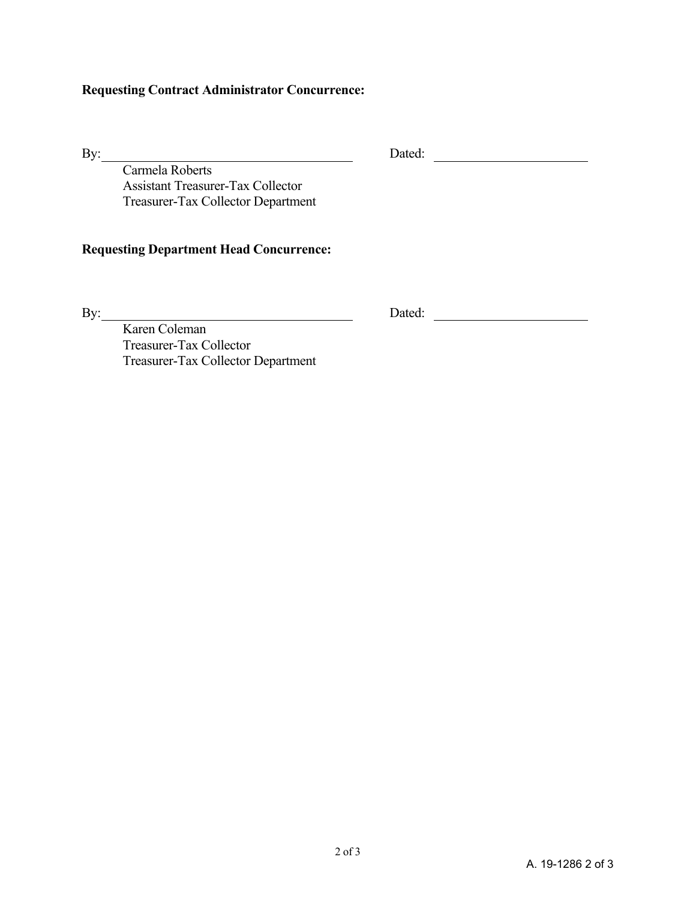## **Requesting Contract Administrator Concurrence:**

By: Dated:

Carmela Roberts Assistant Treasurer-Tax Collector Treasurer-Tax Collector Department

### **Requesting Department Head Concurrence:**

By: Dated:

Karen Coleman Treasurer-Tax Collector Treasurer-Tax Collector Department